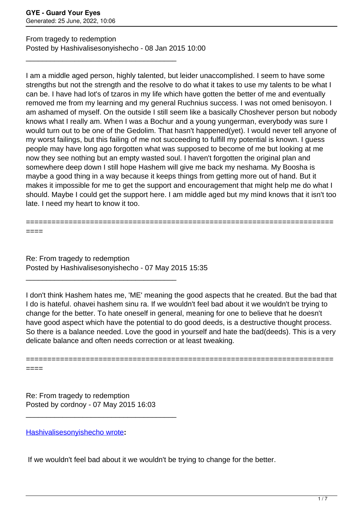From tragedy to redemption Posted by Hashivalisesonyishecho - 08 Jan 2015 10:00

\_\_\_\_\_\_\_\_\_\_\_\_\_\_\_\_\_\_\_\_\_\_\_\_\_\_\_\_\_\_\_\_\_\_\_\_\_

I am a middle aged person, highly talented, but leider unaccomplished. I seem to have some strengths but not the strength and the resolve to do what it takes to use my talents to be what I can be. I have had lot's of tzaros in my life which have gotten the better of me and eventually removed me from my learning and my general Ruchnius success. I was not omed benisoyon. I am ashamed of myself. On the outside I still seem like a basically Choshever person but nobody knows what I really am. When I was a Bochur and a young yungerman, everybody was sure I would turn out to be one of the Gedolim. That hasn't happened(yet). I would never tell anyone of my worst failings, but this failing of me not succeeding to fulfill my potential is known. I guess people may have long ago forgotten what was supposed to become of me but looking at me now they see nothing but an empty wasted soul. I haven't forgotten the original plan and somewhere deep down I still hope Hashem will give me back my neshama. My Boosha is maybe a good thing in a way because it keeps things from getting more out of hand. But it makes it impossible for me to get the support and encouragement that might help me do what I should. Maybe I could get the support here. I am middle aged but my mind knows that it isn't too late. I need my heart to know it too.

======================================================================== ====

Re: From tragedy to redemption Posted by Hashivalisesonyishecho - 07 May 2015 15:35

\_\_\_\_\_\_\_\_\_\_\_\_\_\_\_\_\_\_\_\_\_\_\_\_\_\_\_\_\_\_\_\_\_\_\_\_\_

I don't think Hashem hates me, 'ME' meaning the good aspects that he created. But the bad that I do is hateful. ohavei hashem sinu ra. If we wouldn't feel bad about it we wouldn't be trying to change for the better. To hate oneself in general, meaning for one to believe that he doesn't have good aspect which have the potential to do good deeds, is a destructive thought process. So there is a balance needed. Love the good in yourself and hate the bad(deeds). This is a very delicate balance and often needs correction or at least tweaking.

========================================================================

====

Re: From tragedy to redemption Posted by cordnoy - 07 May 2015 16:03

\_\_\_\_\_\_\_\_\_\_\_\_\_\_\_\_\_\_\_\_\_\_\_\_\_\_\_\_\_\_\_\_\_\_\_\_\_

[Hashivalisesonyishecho wrote](/forum/id-254113)**:**

If we wouldn't feel bad about it we wouldn't be trying to change for the better.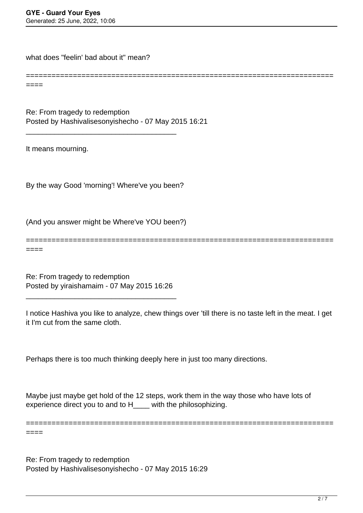what does "feelin' bad about it" mean?

 $----$ 

====

Re: From tragedy to redemption Posted by Hashivalisesonyishecho - 07 May 2015 16:21

It means mourning.

By the way Good 'morning'! Where've you been?

\_\_\_\_\_\_\_\_\_\_\_\_\_\_\_\_\_\_\_\_\_\_\_\_\_\_\_\_\_\_\_\_\_\_\_\_\_

(And you answer might be Where've YOU been?)

======================================================================== ====

========================================================================

Re: From tragedy to redemption Posted by yiraishamaim - 07 May 2015 16:26

\_\_\_\_\_\_\_\_\_\_\_\_\_\_\_\_\_\_\_\_\_\_\_\_\_\_\_\_\_\_\_\_\_\_\_\_\_

I notice Hashiva you like to analyze, chew things over 'till there is no taste left in the meat. I get it I'm cut from the same cloth.

Perhaps there is too much thinking deeply here in just too many directions.

Maybe just maybe get hold of the 12 steps, work them in the way those who have lots of experience direct you to and to H\_\_\_\_ with the philosophizing.

========================================================================

Re: From tragedy to redemption Posted by Hashivalisesonyishecho - 07 May 2015 16:29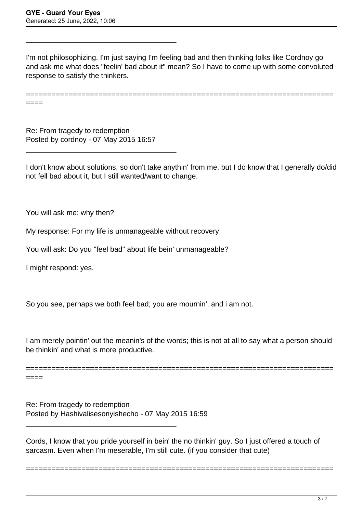I'm not philosophizing. I'm just saying I'm feeling bad and then thinking folks like Cordnoy go and ask me what does "feelin' bad about it" mean? So I have to come up with some convoluted response to satisfy the thinkers.

======================================================================== ====

Re: From tragedy to redemption Posted by cordnoy - 07 May 2015 16:57

\_\_\_\_\_\_\_\_\_\_\_\_\_\_\_\_\_\_\_\_\_\_\_\_\_\_\_\_\_\_\_\_\_\_\_\_\_

\_\_\_\_\_\_\_\_\_\_\_\_\_\_\_\_\_\_\_\_\_\_\_\_\_\_\_\_\_\_\_\_\_\_\_\_\_

I don't know about solutions, so don't take anythin' from me, but I do know that I generally do/did not fell bad about it, but I still wanted/want to change.

You will ask me: why then?

My response: For my life is unmanageable without recovery.

You will ask: Do you "feel bad" about life bein' unmanageable?

I might respond: yes.

So you see, perhaps we both feel bad; you are mournin', and i am not.

I am merely pointin' out the meanin's of the words; this is not at all to say what a person should be thinkin' and what is more productive.

========================================================================

====

Re: From tragedy to redemption Posted by Hashivalisesonyishecho - 07 May 2015 16:59

\_\_\_\_\_\_\_\_\_\_\_\_\_\_\_\_\_\_\_\_\_\_\_\_\_\_\_\_\_\_\_\_\_\_\_\_\_

Cords, I know that you pride yourself in bein' the no thinkin' guy. So I just offered a touch of sarcasm. Even when I'm meserable, I'm still cute. (if you consider that cute)

========================================================================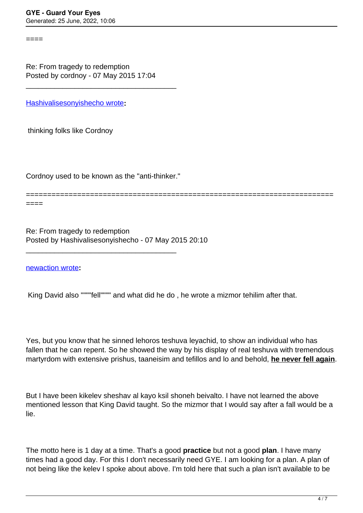====

Re: From tragedy to redemption

Posted by cordnoy - 07 May 2015 17:04

\_\_\_\_\_\_\_\_\_\_\_\_\_\_\_\_\_\_\_\_\_\_\_\_\_\_\_\_\_\_\_\_\_\_\_\_\_

[Hashivalisesonyishecho wrote](/forum/id-254117)**:**

thinking folks like Cordnoy

Cordnoy used to be known as the "anti-thinker."

\_\_\_\_\_\_\_\_\_\_\_\_\_\_\_\_\_\_\_\_\_\_\_\_\_\_\_\_\_\_\_\_\_\_\_\_\_

======================================================================== ====

Re: From tragedy to redemption Posted by Hashivalisesonyishecho - 07 May 2015 20:10

[newaction wrote](/forum/id-254040)**:**

King David also """"fell"""" and what did he do , he wrote a mizmor tehilim after that.

Yes, but you know that he sinned lehoros teshuva leyachid, to show an individual who has fallen that he can repent. So he showed the way by his display of real teshuva with tremendous martyrdom with extensive prishus, taaneisim and tefillos and lo and behold, **he never fell again**.

But I have been kikelev sheshav al kayo ksil shoneh beivalto. I have not learned the above mentioned lesson that King David taught. So the mizmor that I would say after a fall would be a lie.

The motto here is 1 day at a time. That's a good **practice** but not a good **plan**. I have many times had a good day. For this I don't necessarily need GYE. I am looking for a plan. A plan of not being like the kelev I spoke about above. I'm told here that such a plan isn't available to be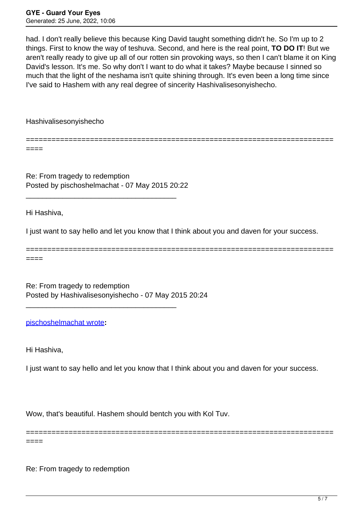had. I don't really believe this because King David taught something didn't he. So I'm up to 2 things. First to know the way of teshuva. Second, and here is the real point, **TO DO IT**! But we aren't really ready to give up all of our rotten sin provoking ways, so then I can't blame it on King David's lesson. It's me. So why don't I want to do what it takes? Maybe because I sinned so much that the light of the neshama isn't quite shining through. It's even been a long time since I've said to Hashem with any real degree of sincerity Hashivalisesonyishecho.

========================================================================

Hashivalisesonyishecho

====

Re: From tragedy to redemption Posted by pischoshelmachat - 07 May 2015 20:22

\_\_\_\_\_\_\_\_\_\_\_\_\_\_\_\_\_\_\_\_\_\_\_\_\_\_\_\_\_\_\_\_\_\_\_\_\_

Hi Hashiva,

I just want to say hello and let you know that I think about you and daven for your success.

======================================================================== ====

Re: From tragedy to redemption Posted by Hashivalisesonyishecho - 07 May 2015 20:24

\_\_\_\_\_\_\_\_\_\_\_\_\_\_\_\_\_\_\_\_\_\_\_\_\_\_\_\_\_\_\_\_\_\_\_\_\_

[pischoshelmachat wrote](/forum/id-254132)**:**

Hi Hashiva,

I just want to say hello and let you know that I think about you and daven for your success.

========================================================================

Wow, that's beautiful. Hashem should bentch you with Kol Tuv.

====

Re: From tragedy to redemption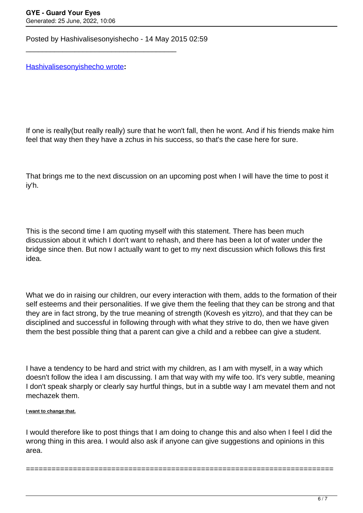Posted by Hashivalisesonyishecho - 14 May 2015 02:59

\_\_\_\_\_\_\_\_\_\_\_\_\_\_\_\_\_\_\_\_\_\_\_\_\_\_\_\_\_\_\_\_\_\_\_\_\_

[Hashivalisesonyishecho wrote](/forum/id-251741)**:**

If one is really(but really really) sure that he won't fall, then he wont. And if his friends make him feel that way then they have a zchus in his success, so that's the case here for sure.

That brings me to the next discussion on an upcoming post when I will have the time to post it iy'h.

This is the second time I am quoting myself with this statement. There has been much discussion about it which I don't want to rehash, and there has been a lot of water under the bridge since then. But now I actually want to get to my next discussion which follows this first idea.

What we do in raising our children, our every interaction with them, adds to the formation of their self esteems and their personalities. If we give them the feeling that they can be strong and that they are in fact strong, by the true meaning of strength (Kovesh es yitzro), and that they can be disciplined and successful in following through with what they strive to do, then we have given them the best possible thing that a parent can give a child and a rebbee can give a student.

I have a tendency to be hard and strict with my children, as I am with myself, in a way which doesn't follow the idea I am discussing. I am that way with my wife too. It's very subtle, meaning I don't speak sharply or clearly say hurtful things, but in a subtle way I am mevatel them and not mechazek them.

## **I want to change that.**

I would therefore like to post things that I am doing to change this and also when I feel I did the wrong thing in this area. I would also ask if anyone can give suggestions and opinions in this area.

========================================================================